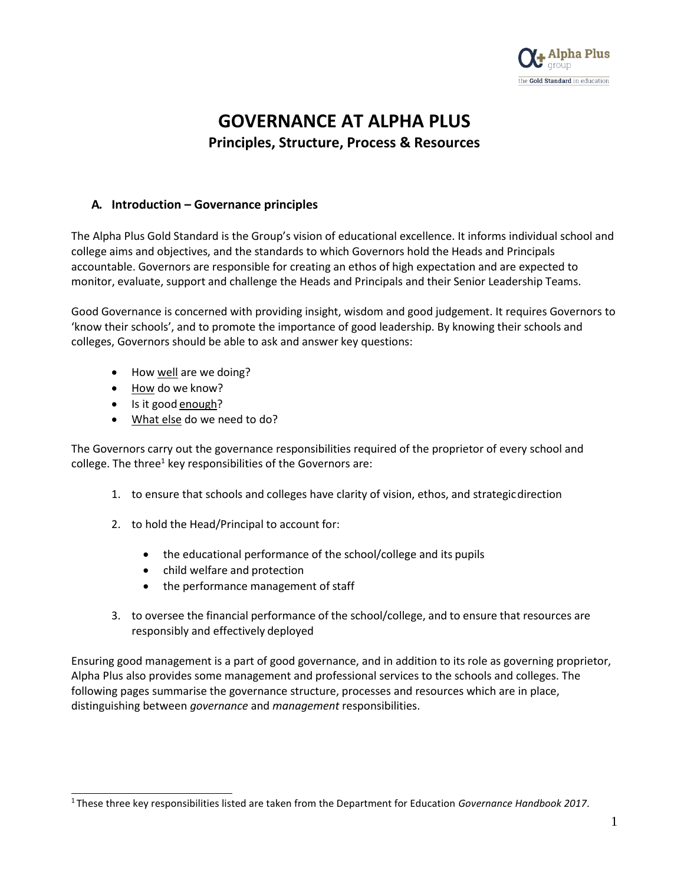

# **GOVERNANCE AT ALPHA PLUS Principles, Structure, Process & Resources**

### **A. Introduction – Governance principles**

The Alpha Plus Gold Standard is the Group's vision of educational excellence. It informs individual school and college aims and objectives, and the standards to which Governors hold the Heads and Principals accountable. Governors are responsible for creating an ethos of high expectation and are expected to monitor, evaluate, support and challenge the Heads and Principals and their Senior Leadership Teams.

Good Governance is concerned with providing insight, wisdom and good judgement. It requires Governors to 'know their schools', and to promote the importance of good leadership. By knowing their schools and colleges, Governors should be able to ask and answer key questions:

- How well are we doing?
- How do we know?
- Is it good enough?
- What else do we need to do?

The Governors carry out the governance responsibilities required of the proprietor of every school and college. The three<sup>1</sup> key responsibilities of the Governors are:

- 1. to ensure that schools and colleges have clarity of vision, ethos, and strategicdirection
- 2. to hold the Head/Principal to account for:
	- the educational performance of the school/college and its pupils
	- child welfare and protection
	- the performance management of staff
- 3. to oversee the financial performance of the school/college, and to ensure that resources are responsibly and effectively deployed

Ensuring good management is a part of good governance, and in addition to its role as governing proprietor, Alpha Plus also provides some management and professional services to the schools and colleges. The following pages summarise the governance structure, processes and resources which are in place, distinguishing between *governance* and *management* responsibilities.

<sup>1</sup> These three key responsibilities listed are taken from the Department for Education *Governance Handbook 2017*.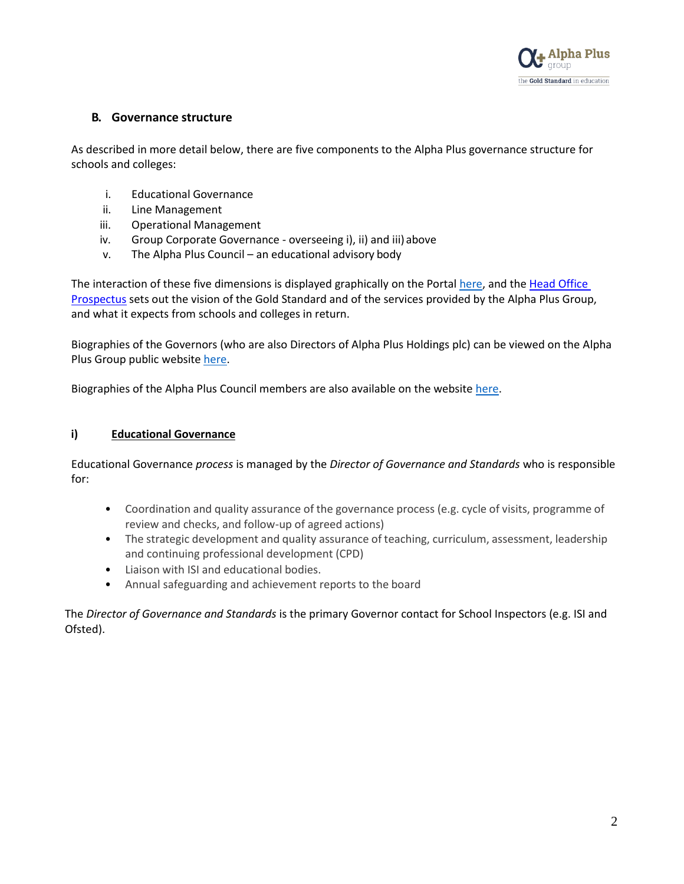

# **B. Governance structure**

As described in more detail below, there are five components to the Alpha Plus governance structure for schools and colleges:

- i. Educational Governance
- ii. Line Management
- iii. Operational Management
- iv. Group Corporate Governance overseeing i), ii) and iii) above
- v. The Alpha Plus Council an educational advisory body

The interaction of these five dimensions is displayed graphically on the Portal [here, a](https://egiportal.alphaplusgroup.co.uk/Alpha%20Plus%20Group%20Information/Educational%20governance%20structure/Governance%20Framework%20-%202020.pdf)nd the [Head Office](https://egiportal.alphaplusgroup.co.uk/Alpha%20Plus%20Group%20Information/Educational%20governance%20structure/Alpha%20Plus%20Group%20-%20Head%20Office%20Prospectus.pdf) [Prospectus](https://egiportal.alphaplusgroup.co.uk/Alpha%20Plus%20Group%20Information/Educational%20governance%20structure/Alpha%20Plus%20Group%20-%20Head%20Office%20Prospectus.pdf) sets out the vision of the Gold Standard and of the services provided by the Alpha Plus Group, and what it expects from schools and colleges in return.

Biographies of the Governors (who are also Directors of Alpha Plus Holdings plc) can be viewed on the Alpha Plus Group public website [here.](https://www.alphaplusgroup.co.uk/about-us/governance/school-governors/)

Biographies of the Alpha Plus Council members are also available on the websit[e here.](https://www.alphaplusgroup.co.uk/about-us/governance/the-alpha-plus-council/)

#### **i) Educational Governance**

Educational Governance *process* is managed by the *Director of Governance and Standards* who is responsible for:

- Coordination and quality assurance of the governance process (e.g. cycle of visits, programme of review and checks, and follow-up of agreed actions)
- The strategic development and quality assurance of teaching, curriculum, assessment, leadership and continuing professional development (CPD)
- Liaison with ISI and educational bodies.
- Annual safeguarding and achievement reports to the board

The *Director of Governance and Standards* is the primary Governor contact for School Inspectors (e.g. ISI and Ofsted).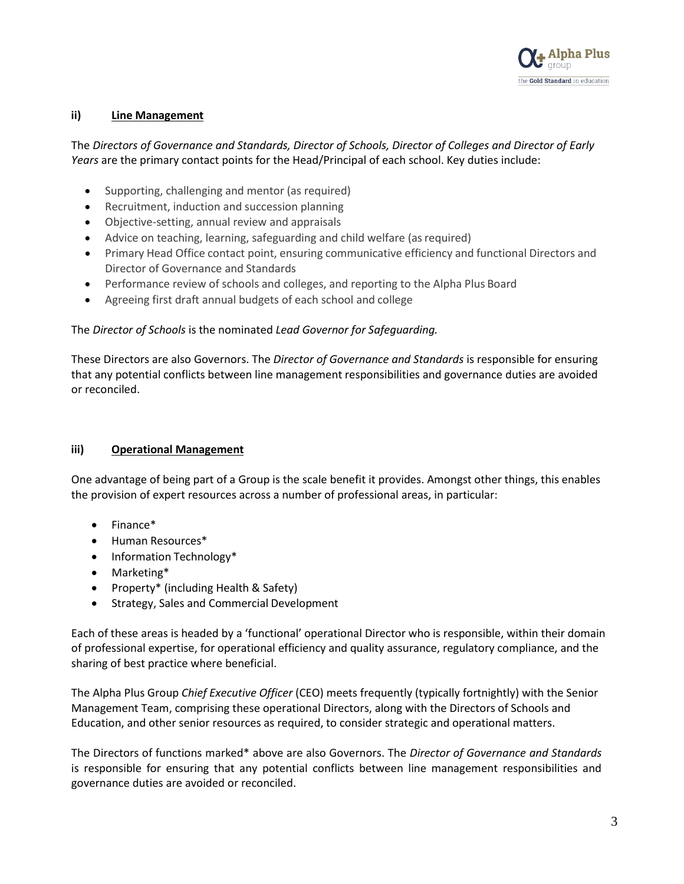

#### **ii) Line Management**

The *Directors of Governance and Standards, Director of Schools, Director of Colleges and Director of Early Years* are the primary contact points for the Head/Principal of each school. Key duties include:

- Supporting, challenging and mentor (as required)
- Recruitment, induction and succession planning
- Objective-setting, annual review and appraisals
- Advice on teaching, learning, safeguarding and child welfare (as required)
- Primary Head Office contact point, ensuring communicative efficiency and functional Directors and Director of Governance and Standards
- Performance review of schools and colleges, and reporting to the Alpha Plus Board
- Agreeing first draft annual budgets of each school and college

The *Director of Schools* is the nominated *Lead Governor for Safeguarding.*

These Directors are also Governors. The *Director of Governance and Standards* is responsible for ensuring that any potential conflicts between line management responsibilities and governance duties are avoided or reconciled.

#### **iii) Operational Management**

One advantage of being part of a Group is the scale benefit it provides. Amongst other things, this enables the provision of expert resources across a number of professional areas, in particular:

- Finance\*
- Human Resources\*
- Information Technology\*
- Marketing\*
- Property\* (including Health & Safety)
- Strategy, Sales and Commercial Development

Each of these areas is headed by a 'functional' operational Director who is responsible, within their domain of professional expertise, for operational efficiency and quality assurance, regulatory compliance, and the sharing of best practice where beneficial.

The Alpha Plus Group *Chief Executive Officer* (CEO) meets frequently (typically fortnightly) with the Senior Management Team, comprising these operational Directors, along with the Directors of Schools and Education, and other senior resources as required, to consider strategic and operational matters.

The Directors of functions marked\* above are also Governors. The *Director of Governance and Standards*  is responsible for ensuring that any potential conflicts between line management responsibilities and governance duties are avoided or reconciled.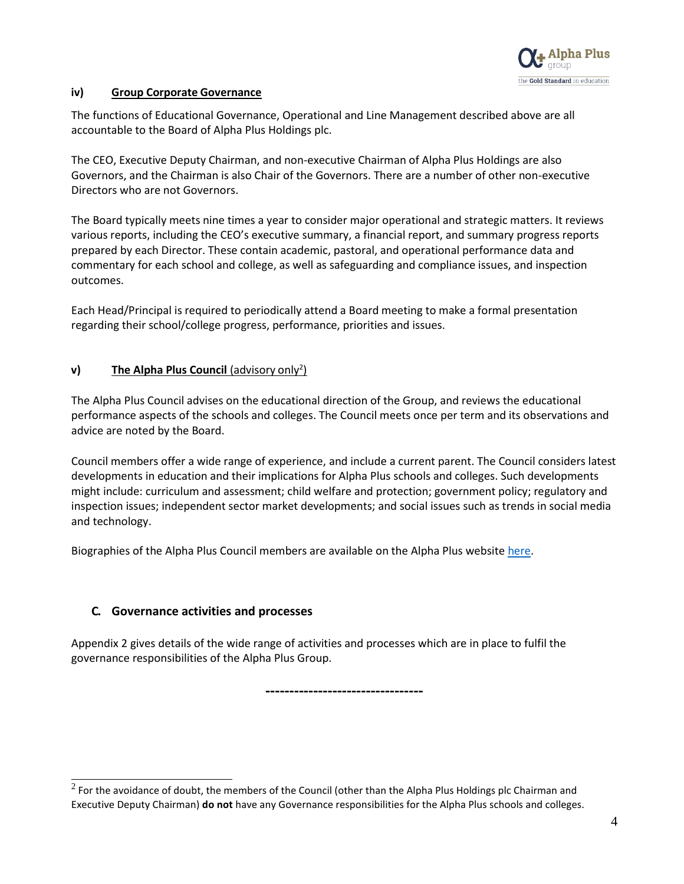

### **iv) Group Corporate Governance**

The functions of Educational Governance, Operational and Line Management described above are all accountable to the Board of Alpha Plus Holdings plc.

The CEO, Executive Deputy Chairman, and non-executive Chairman of Alpha Plus Holdings are also Governors, and the Chairman is also Chair of the Governors. There are a number of other non-executive Directors who are not Governors.

The Board typically meets nine times a year to consider major operational and strategic matters. It reviews various reports, including the CEO's executive summary, a financial report, and summary progress reports prepared by each Director. These contain academic, pastoral, and operational performance data and commentary for each school and college, as well as safeguarding and compliance issues, and inspection outcomes.

Each Head/Principal is required to periodically attend a Board meeting to make a formal presentation regarding their school/college progress, performance, priorities and issues.

# **v)** The Alpha Plus Council (advisory only<sup>2</sup>)

The Alpha Plus Council advises on the educational direction of the Group, and reviews the educational performance aspects of the schools and colleges. The Council meets once per term and its observations and advice are noted by the Board.

Council members offer a wide range of experience, and include a current parent. The Council considers latest developments in education and their implications for Alpha Plus schools and colleges. Such developments might include: curriculum and assessment; child welfare and protection; government policy; regulatory and inspection issues; independent sector market developments; and social issues such as trends in social media and technology.

Biographies of the Alpha Plus Council members are available on the Alpha Plus websit[e here.](https://www.alphaplusgroup.co.uk/about-us/governance/the-alpha-plus-council/)

# **C. Governance activities and processes**

Appendix 2 gives details of the wide range of activities and processes which are in place to fulfil the governance responsibilities of the Alpha Plus Group.

**---------------------------------**

 $2$  For the avoidance of doubt, the members of the Council (other than the Alpha Plus Holdings plc Chairman and Executive Deputy Chairman) **do not** have any Governance responsibilities for the Alpha Plus schools and colleges.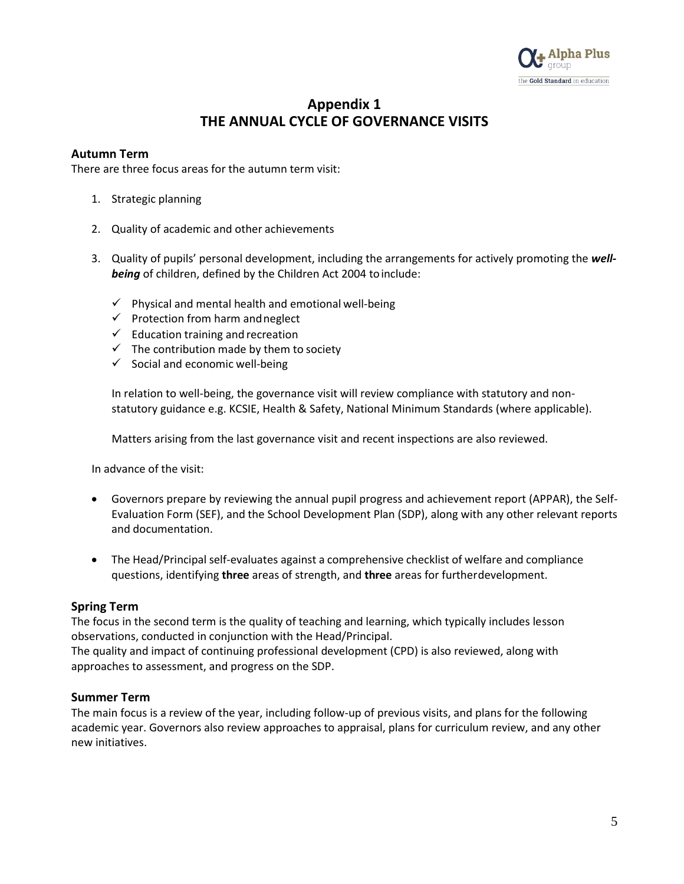

# **Appendix 1 THE ANNUAL CYCLE OF GOVERNANCE VISITS**

### **Autumn Term**

There are three focus areas for the autumn term visit:

- 1. Strategic planning
- 2. Quality of academic and other achievements
- 3. Quality of pupils' personal development, including the arrangements for actively promoting the *wellbeing* of children, defined by the Children Act 2004 toinclude:
	- $\checkmark$  Physical and mental health and emotional well-being
	- $\checkmark$  Protection from harm and neglect
	- $\checkmark$  Education training and recreation
	- $\checkmark$  The contribution made by them to society
	- $\checkmark$  Social and economic well-being

In relation to well-being, the governance visit will review compliance with statutory and nonstatutory guidance e.g. KCSIE, Health & Safety, National Minimum Standards (where applicable).

Matters arising from the last governance visit and recent inspections are also reviewed.

In advance of the visit:

- Governors prepare by reviewing the annual pupil progress and achievement report (APPAR), the Self-Evaluation Form (SEF), and the School Development Plan (SDP), along with any other relevant reports and documentation.
- The Head/Principal self-evaluates against a comprehensive checklist of welfare and compliance questions, identifying **three** areas of strength, and **three** areas for furtherdevelopment.

#### **Spring Term**

The focus in the second term is the quality of teaching and learning, which typically includes lesson observations, conducted in conjunction with the Head/Principal.

The quality and impact of continuing professional development (CPD) is also reviewed, along with approaches to assessment, and progress on the SDP.

#### **Summer Term**

The main focus is a review of the year, including follow-up of previous visits, and plans for the following academic year. Governors also review approaches to appraisal, plans for curriculum review, and any other new initiatives.